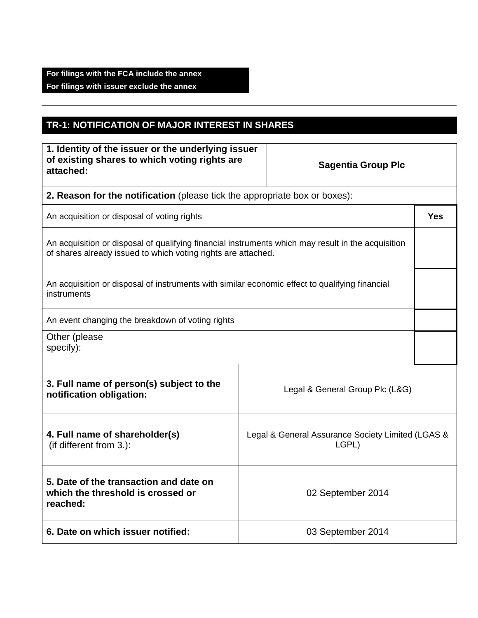## **TR-1: NOTIFICATION OF MAJOR INTEREST IN SHARES**

| 1. Identity of the issuer or the underlying issuer<br>of existing shares to which voting rights are<br>attached:                                                    |                   | <b>Sagentia Group Plc</b>                                  |            |
|---------------------------------------------------------------------------------------------------------------------------------------------------------------------|-------------------|------------------------------------------------------------|------------|
| 2. Reason for the notification (please tick the appropriate box or boxes):                                                                                          |                   |                                                            |            |
| An acquisition or disposal of voting rights                                                                                                                         |                   |                                                            | <b>Yes</b> |
| An acquisition or disposal of qualifying financial instruments which may result in the acquisition<br>of shares already issued to which voting rights are attached. |                   |                                                            |            |
| An acquisition or disposal of instruments with similar economic effect to qualifying financial<br>instruments                                                       |                   |                                                            |            |
| An event changing the breakdown of voting rights                                                                                                                    |                   |                                                            |            |
| Other (please<br>specify):                                                                                                                                          |                   |                                                            |            |
| 3. Full name of person(s) subject to the<br>notification obligation:                                                                                                |                   | Legal & General Group Plc (L&G)                            |            |
| 4. Full name of shareholder(s)<br>(if different from 3.):                                                                                                           |                   | Legal & General Assurance Society Limited (LGAS &<br>LGPL) |            |
| 5. Date of the transaction and date on<br>which the threshold is crossed or<br>reached:                                                                             | 02 September 2014 |                                                            |            |
| 6. Date on which issuer notified:                                                                                                                                   | 03 September 2014 |                                                            |            |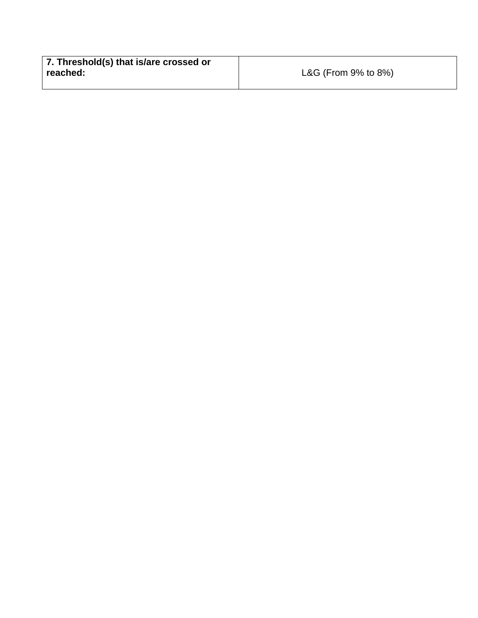| 7. Threshold(s) that is/are crossed or |                           |
|----------------------------------------|---------------------------|
| reached:                               | L&G (From $9\%$ to $8\%)$ |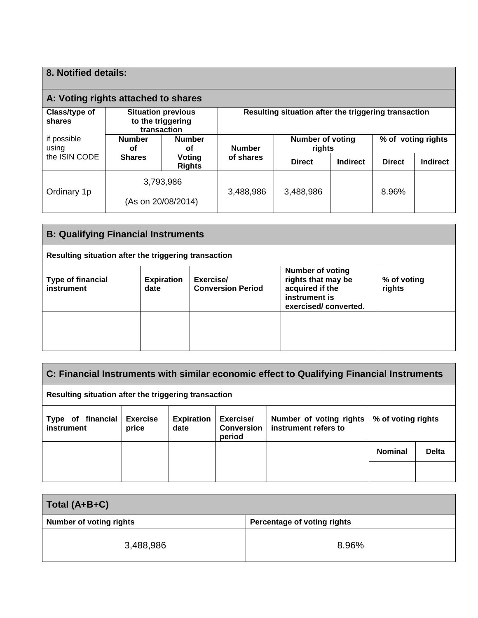| 8. Notified details:                                                                     |                                 |                                                      |               |                                   |          |                    |                 |
|------------------------------------------------------------------------------------------|---------------------------------|------------------------------------------------------|---------------|-----------------------------------|----------|--------------------|-----------------|
| A: Voting rights attached to shares                                                      |                                 |                                                      |               |                                   |          |                    |                 |
| Class/type of<br><b>Situation previous</b><br>to the triggering<br>shares<br>transaction |                                 | Resulting situation after the triggering transaction |               |                                   |          |                    |                 |
| if possible<br>using                                                                     | <b>Number</b><br>οf             | <b>Number</b><br>οf                                  | <b>Number</b> | <b>Number of voting</b><br>rights |          | % of voting rights |                 |
| the ISIN CODE                                                                            | <b>Shares</b>                   | Voting<br><b>Rights</b>                              | of shares     | <b>Direct</b>                     | Indirect | <b>Direct</b>      | <b>Indirect</b> |
| Ordinary 1p                                                                              | 3,793,986<br>(As on 20/08/2014) |                                                      | 3,488,986     | 3,488,986                         |          | 8.96%              |                 |
|                                                                                          |                                 |                                                      |               |                                   |          |                    |                 |

| <b>B: Qualifying Financial Instruments</b>                                                                                                                                                                                                         |  |  |  |  |
|----------------------------------------------------------------------------------------------------------------------------------------------------------------------------------------------------------------------------------------------------|--|--|--|--|
| Resulting situation after the triggering transaction                                                                                                                                                                                               |  |  |  |  |
| <b>Number of voting</b><br>rights that may be<br>Exercise/<br><b>Type of financial</b><br><b>Expiration</b><br>% of voting<br>acquired if the<br>instrument<br><b>Conversion Period</b><br>rights<br>date<br>instrument is<br>exercised/converted. |  |  |  |  |
|                                                                                                                                                                                                                                                    |  |  |  |  |

| C: Financial Instruments with similar economic effect to Qualifying Financial Instruments                                                                                                                     |  |  |  |  |                |              |
|---------------------------------------------------------------------------------------------------------------------------------------------------------------------------------------------------------------|--|--|--|--|----------------|--------------|
| Resulting situation after the triggering transaction                                                                                                                                                          |  |  |  |  |                |              |
| <b>Exercise</b><br>Type of financial<br><b>Expiration</b><br>Exercise/<br>% of voting rights<br>Number of voting rights<br>instrument refers to<br>instrument<br><b>Conversion</b><br>price<br>date<br>period |  |  |  |  |                |              |
|                                                                                                                                                                                                               |  |  |  |  | <b>Nominal</b> | <b>Delta</b> |
|                                                                                                                                                                                                               |  |  |  |  |                |              |

| Total (A+B+C)                  |                             |
|--------------------------------|-----------------------------|
| <b>Number of voting rights</b> | Percentage of voting rights |
| 3,488,986                      | 8.96%                       |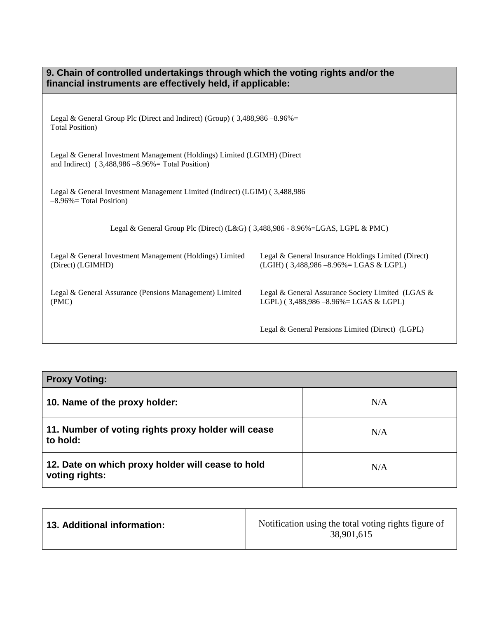| 9. Chain of controlled undertakings through which the voting rights and/or the<br>financial instruments are effectively held, if applicable: |                                                                                                  |  |  |
|----------------------------------------------------------------------------------------------------------------------------------------------|--------------------------------------------------------------------------------------------------|--|--|
| Legal & General Group Plc (Direct and Indirect) (Group) ( $3,488,986 - 8.96\% =$<br><b>Total Position</b> )                                  |                                                                                                  |  |  |
| Legal & General Investment Management (Holdings) Limited (LGIMH) (Direct<br>and Indirect) $(3,488,986 - 8.96\% = \text{Total Position})$     |                                                                                                  |  |  |
| Legal & General Investment Management Limited (Indirect) (LGIM) (3,488,986)<br>$-8.96\%$ = Total Position)                                   |                                                                                                  |  |  |
| Legal & General Group Plc (Direct) (L&G) (3,488,986 - 8.96%=LGAS, LGPL & PMC)                                                                |                                                                                                  |  |  |
| Legal & General Investment Management (Holdings) Limited<br>(Direct) (LGIMHD)                                                                | Legal & General Insurance Holdings Limited (Direct)<br>$(LGIH)$ (3,488,986 -8.96% = LGAS & LGPL) |  |  |
| Legal & General Assurance (Pensions Management) Limited<br>(PMC)                                                                             | Legal & General Assurance Society Limited (LGAS &<br>LGPL) (3,488,986 - 8.96% = LGAS & LGPL)     |  |  |
|                                                                                                                                              | Legal & General Pensions Limited (Direct) (LGPL)                                                 |  |  |

| <b>Proxy Voting:</b>                                                |     |
|---------------------------------------------------------------------|-----|
| 10. Name of the proxy holder:                                       | N/A |
| 11. Number of voting rights proxy holder will cease<br>to hold:     | N/A |
| 12. Date on which proxy holder will cease to hold<br>voting rights: | N/A |

| <b>13. Additional information:</b> | Notification using the total voting rights figure of<br>38,901,615 |
|------------------------------------|--------------------------------------------------------------------|
|------------------------------------|--------------------------------------------------------------------|